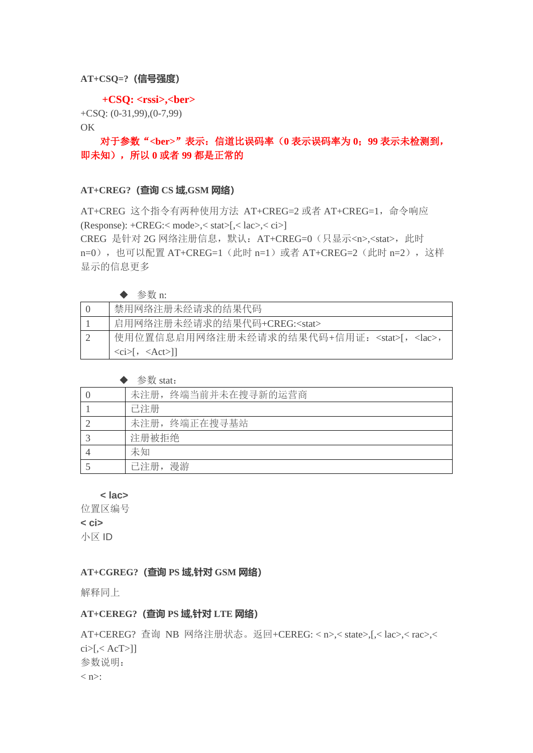### **AT+CSQ=?(信号强度)**

#### **+CSQ: <rssi>,<ber>**

+CSQ: (0-31,99),(0-7,99)

## OK

## 对于参数"**<ber>**"表示:信道比误码率(**0** 表示误码率为 **0**;**99** 表示未检测到, 即未知),所以 **0** 或者 **99** 都是正常的

### **AT+CREG?(查询 CS 域,GSM 网络)**

AT+CREG 这个指令有两种使用方法 AT+CREG=2 或者 AT+CREG=1,命令响应 (Response): +CREG:< mode>,< stat>[,< lac>,< ci>] CREG 是针对 2G 网络注册信息, 默认: AT+CREG=0 (只显示<n>,<stat>, 此时 n=0), 也可以配置 AT+CREG=1 (此时 n=1) 或者 AT+CREG=2 (此时 n=2), 这样

显示的信息更多

| 参数 n:                                                   |
|---------------------------------------------------------|
| 禁用网络注册未经请求的结果代码                                         |
| 启用网络注册未经请求的结果代码+CREG: <stat></stat>                     |
| 使用位置信息启用网络注册未经请求的结果代码+信用证: <stat>[, <lac>,</lac></stat> |
| $\langle ci \rangle$ , $\langle Act \rangle$ ]          |

| 参数 stat: |  |
|----------|--|
|          |  |

| $\sim$ $\sim$ $\sim$ $\sim$ $\sim$ $\sim$ $\sim$ |
|--------------------------------------------------|
| 未注册,终端当前并未在搜寻新的运营商                               |
| 已注册                                              |
| 未注册, 终端正在搜寻基站                                    |
| 注册被拒绝                                            |
| 未知                                               |
| 已注册,漫游                                           |

**< lac>**

位置区编号

**< ci>**

小区 ID

## **AT+CGREG?(查询 PS 域,针对 GSM 网络)**

解释同上

## **AT+CEREG?(查询 PS 域,针对 LTE 网络)**

AT+CEREG? 查询 NB 网络注册状态。返回+CEREG: < n>,< state>,[,< lac>,< rac>,<  $ci>[1]$ 参数说明:  $\langle n \rangle$ :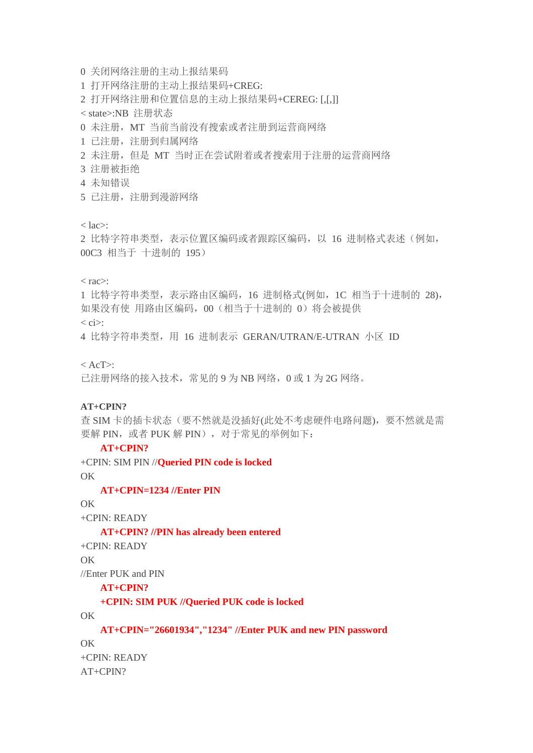- 0 关闭网络注册的主动上报结果码
- 1 打开网络注册的主动上报结果码+CREG:
- 2 打开网络注册和位置信息的主动上报结果码+CEREG: [,[,]]

< state>:NB 注册状态

- 0 未注册, MT 当前当前没有搜索或者注册到运营商网络
- 1 已注册,注册到归属网络
- 2 未注册,但是 MT 当时正在尝试附着或者搜索用于注册的运营商网络
- 3 注册被拒绝
- 4 未知错误
- 5 已注册,注册到漫游网络

 $<$  lac $>$ :

2 比特字符串类型,表示位置区编码或者跟踪区编码,以 16 进制格式表述(例如, 00C3 相当于 十进制的 195)

 $<$  rac $>$ :

1 比特字符串类型,表示路由区编码,16 进制格式(例如,1C 相当于十进制的 28), 如果没有使 用路由区编码, 00 (相当于十进制的 0) 将会被提供  $\langle$  ci $>$ :

4 比特字符串类型, 用 16 进制表示 GERAN/UTRAN/E-UTRAN 小区 ID

 $<$  AcT $>$ :

已注册网络的接入技术,常见的 9 为 NB 网络,0 或 1 为 2G 网络。

#### **AT+CPIN?**

查 SIM 卡的插卡状态(要不然就是没插好(此处不考虑硬件电路问题),要不然就是需 要解 PIN, 或者 PUK 解 PIN), 对于常见的举例如下:

**AT+CPIN?**

+CPIN: SIM PIN //**Queried PIN code is locked** OK

**AT+CPIN=1234 //Enter PIN**

## OK

+CPIN: READY

**AT+CPIN? //PIN has already been entered**

+CPIN: READY

OK

//Enter PUK and PIN

**AT+CPIN?**

**+CPIN: SIM PUK //Queried PUK code is locked**

OK

**AT+CPIN="26601934","1234" //Enter PUK and new PIN password**

OK

+CPIN: READY AT+CPIN?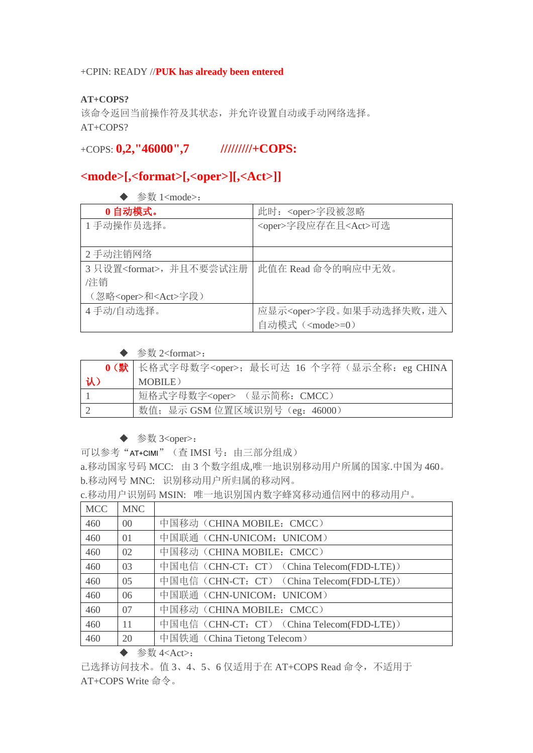## +CPIN: READY //**PUK has already been entered**

## **AT+COPS?**

该命令返回当前操作符及其状态,并允许设置自动或手动网络选择。 AT+COPS?

## +COPS: **0,2,"46000",7 /////////+COPS:**

# **<mode>[,<format>[,<oper>][,<Act>]]**

|  |  | 参数 1 <mode>:</mode> |
|--|--|---------------------|
|--|--|---------------------|

| 0自动模式。                            | 此时: <oper>字段被忽略</oper>           |
|-----------------------------------|----------------------------------|
| 1手动操作员选择。                         | <oper>字段应存在且<act>可选</act></oper> |
|                                   |                                  |
| 2 手动注销网络                          |                                  |
| 3 只设置 <format>, 并且不要尝试注册</format> | 此值在 Read 命令的响应中无效。               |
| /注销                               |                                  |
| (忽略 <oper>和<act>字段)</act></oper>  |                                  |
| 4手动/自动选择。                         | 应显示 <oper>字段。如果手动选择失败,进入</oper>  |
|                                   | 自动模式 ( <mode>=0)</mode>          |

## ◆ 参数 2<format>:

|    | 0 (默   长格式字母数字 <oper>; 最长可达 16 个字符 (显示全称: eg CHINA</oper> |
|----|-----------------------------------------------------------|
| 认) | MOBILE)                                                   |
|    | 短格式字母数字 <oper> (显示简称: CMCC)</oper>                        |
|    | 数值; 显示 GSM 位置区域识别号 (eg: 46000)                            |

## ◆ 参数 3<oper>:

可以参考"AT+CIMI"(查 IMSI 号: 由三部分组成)

a.移动国家号码 MCC: 由 3 个数字组成,唯一地识别移动用户所属的国家.中国为 460。 b.移动网号 MNC: 识别移动用户所归属的移动网。

c.移动用户识别码 MSIN: 唯一地识别国内数字蜂窝移动通信网中的移动用户。

| <b>MCC</b> | <b>MNC</b> |                                            |
|------------|------------|--------------------------------------------|
| 460        | $00\,$     | 中国移动 (CHINA MOBILE: CMCC)                  |
| 460        | $\Omega$   | 中国联通 (CHN-UNICOM: UNICOM)                  |
| 460        | 02         | 中国移动 (CHINA MOBILE: CMCC)                  |
| 460        | 03         | 中国电信 (CHN-CT: CT) (China Telecom(FDD-LTE)) |
| 460        | 05         | 中国电信 (CHN-CT: CT) (China Telecom(FDD-LTE)) |
| 460        | 06         | 中国联通 (CHN-UNICOM: UNICOM)                  |
| 460        | 07         | 中国移动 (CHINA MOBILE: CMCC)                  |
| 460        | 11         | 中国电信 (CHN-CT: CT) (China Telecom(FDD-LTE)) |
| 460        | 20         | 中国铁通 (China Tietong Telecom)               |

◆ 参数 4<Act>:

已选择访问技术。值 3、4、5、6 仅适用于在 AT+COPS Read 命令,不适用于 AT+COPS Write 命令。